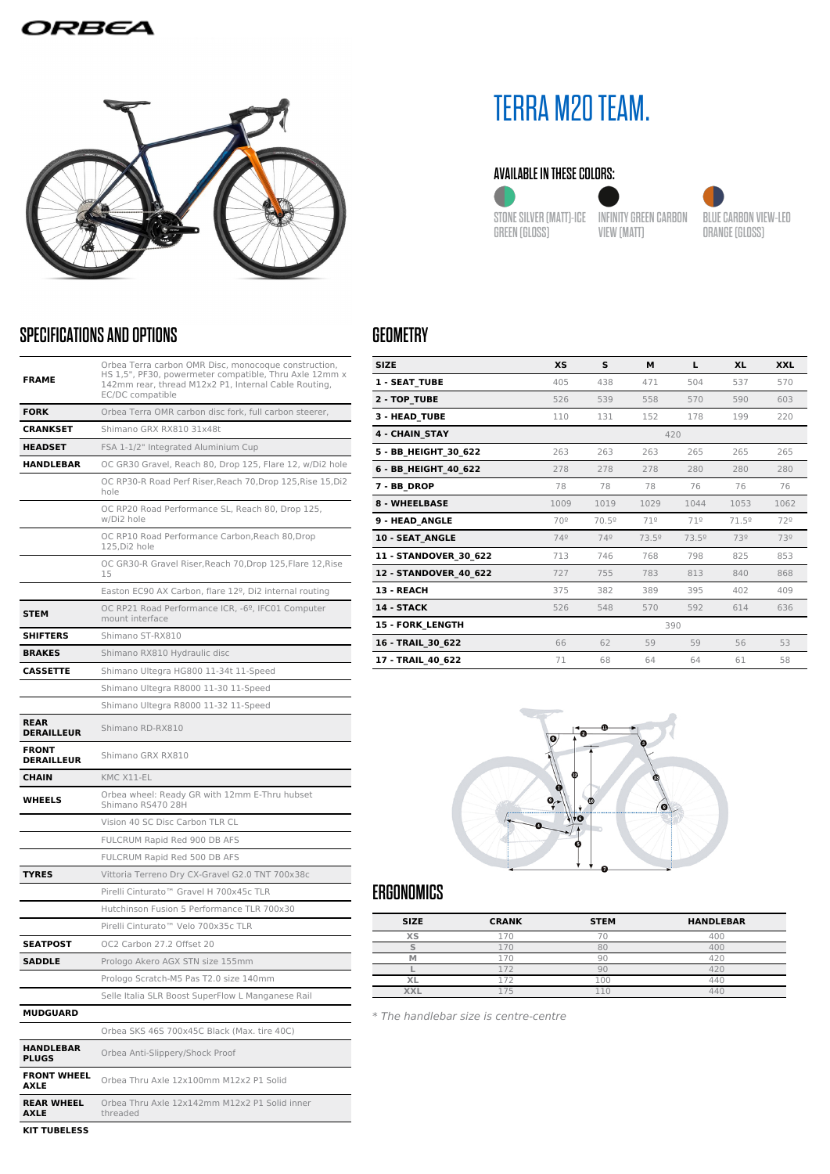## ORBEA



## SPECIFICATIONS AND OPTIONS

| <b>FRAME</b>                      | Orbea Terra carbon OMR Disc, monocoque construction,<br>HS 1,5", PF30, powermeter compatible, Thru Axle 12mm x<br>142mm rear, thread M12x2 P1, Internal Cable Routing,<br>EC/DC compatible |  |  |  |
|-----------------------------------|--------------------------------------------------------------------------------------------------------------------------------------------------------------------------------------------|--|--|--|
| <b>FORK</b>                       | Orbea Terra OMR carbon disc fork, full carbon steerer,                                                                                                                                     |  |  |  |
| <b>CRANKSET</b>                   | Shimano GRX RX810 31x48t                                                                                                                                                                   |  |  |  |
| <b>HEADSET</b>                    | FSA 1-1/2" Integrated Aluminium Cup                                                                                                                                                        |  |  |  |
| HANDLEBAR                         | OC GR30 Gravel, Reach 80, Drop 125, Flare 12, w/Di2 hole                                                                                                                                   |  |  |  |
|                                   | OC RP30-R Road Perf Riser, Reach 70, Drop 125, Rise 15, Di2<br>hole                                                                                                                        |  |  |  |
|                                   | OC RP20 Road Performance SL, Reach 80, Drop 125,<br>w/Di2 hole                                                                                                                             |  |  |  |
|                                   | OC RP10 Road Performance Carbon, Reach 80, Drop<br>125, Di2 hole                                                                                                                           |  |  |  |
|                                   | OC GR30-R Gravel Riser, Reach 70, Drop 125, Flare 12, Rise<br>15                                                                                                                           |  |  |  |
|                                   | Easton EC90 AX Carbon, flare 12º, Di2 internal routing                                                                                                                                     |  |  |  |
| <b>STEM</b>                       | OC RP21 Road Performance ICR, -6º, IFC01 Computer<br>mount interface                                                                                                                       |  |  |  |
| <b>SHIFTERS</b>                   | Shimano ST-RX810                                                                                                                                                                           |  |  |  |
| <b>BRAKES</b>                     | Shimano RX810 Hydraulic disc                                                                                                                                                               |  |  |  |
| <b>CASSETTE</b>                   | Shimano Ultegra HG800 11-34t 11-Speed                                                                                                                                                      |  |  |  |
|                                   | Shimano Ultegra R8000 11-30 11-Speed                                                                                                                                                       |  |  |  |
|                                   | Shimano Ultegra R8000 11-32 11-Speed                                                                                                                                                       |  |  |  |
| <b>REAR</b><br><b>DERAILLEUR</b>  | Shimano RD-RX810                                                                                                                                                                           |  |  |  |
| <b>FRONT</b><br><b>DERAILLEUR</b> | Shimano GRX RX810                                                                                                                                                                          |  |  |  |
| <b>CHAIN</b>                      | KMC X11-EL                                                                                                                                                                                 |  |  |  |
| <b>WHEELS</b>                     | Orbea wheel: Ready GR with 12mm E-Thru hubset<br>Shimano RS470 28H                                                                                                                         |  |  |  |
|                                   | Vision 40 SC Disc Carbon TLR CL                                                                                                                                                            |  |  |  |
|                                   | FULCRUM Rapid Red 900 DB AFS                                                                                                                                                               |  |  |  |
|                                   | FULCRUM Rapid Red 500 DB AFS                                                                                                                                                               |  |  |  |
| <b>TYRES</b>                      | Vittoria Terreno Dry CX-Gravel G2.0 TNT 700x38c                                                                                                                                            |  |  |  |
|                                   | Pirelli Cinturato <sup>™</sup> Gravel H 700x45c TLR                                                                                                                                        |  |  |  |
|                                   | Hutchinson Fusion 5 Performance TLR 700x30                                                                                                                                                 |  |  |  |
|                                   | Pirelli Cinturato™ Velo 700x35c TLR                                                                                                                                                        |  |  |  |
| <b>SEATPOST</b>                   | OC2 Carbon 27.2 Offset 20                                                                                                                                                                  |  |  |  |
| <b>SADDLE</b>                     | Prologo Akero AGX STN size 155mm                                                                                                                                                           |  |  |  |
|                                   | Prologo Scratch-M5 Pas T2.0 size 140mm                                                                                                                                                     |  |  |  |
|                                   | Selle Italia SLR Boost SuperFlow L Manganese Rail                                                                                                                                          |  |  |  |
| <b>MUDGUARD</b>                   |                                                                                                                                                                                            |  |  |  |
|                                   | Orbea SKS 46S 700x45C Black (Max. tire 40C)                                                                                                                                                |  |  |  |
| <b>HANDLEBAR</b><br><b>PLUGS</b>  | Orbea Anti-Slippery/Shock Proof                                                                                                                                                            |  |  |  |
| <b>FRONT WHEEL</b><br>AXLE        | Orbea Thru Axle 12x100mm M12x2 P1 Solid                                                                                                                                                    |  |  |  |
| <b>REAR WHEEL</b><br>AXLE         | Orbea Thru Axle 12x142mm M12x2 P1 Solid inner<br>threaded                                                                                                                                  |  |  |  |

**KIT TUBELESS**

# TERRA M20 TEAM.

#### AVAILABLE IN THESE COLORS:



STONE SILVER (MATT)-ICE INFINITY GREEN CARBON GREEN (GLOSS)

VIEW (MATT)

BLUE CARBON VIEW-LEO ORANGE (GLOSS)

## GEOMETRY

| <b>SIZE</b>             | <b>XS</b> | s     | M     | L     | <b>XL</b> | <b>XXL</b> |
|-------------------------|-----------|-------|-------|-------|-----------|------------|
| <b>1 - SEAT TUBE</b>    | 405       | 438   | 471   | 504   | 537       | 570        |
| 2 - TOP TUBE            | 526       | 539   | 558   | 570   | 590       | 603        |
| 3 - HEAD TUBE           | 110       | 131   | 152   | 178   | 199       | 220        |
| <b>4 - CHAIN STAY</b>   |           |       |       | 420   |           |            |
| 5 - BB_HEIGHT_30_622    | 263       | 263   | 263   | 265   | 265       | 265        |
| 6 - BB HEIGHT 40 622    | 278       | 278   | 278   | 280   | 280       | 280        |
| 7 - BB DROP             | 78        | 78    | 78    | 76    | 76        | 76         |
| <b>8 - WHEELBASE</b>    | 1009      | 1019  | 1029  | 1044  | 1053      | 1062       |
| 9 - HEAD ANGLE          | 70º       | 70.5º | 71º   | 71°   | 71.5º     | 72º        |
| 10 - SEAT ANGLE         | 749       | 749   | 73.5º | 73.5º | 73º       | 73º        |
| 11 - STANDOVER 30 622   | 713       | 746   | 768   | 798   | 825       | 853        |
| 12 - STANDOVER 40 622   | 727       | 755   | 783   | 813   | 840       | 868        |
| 13 - REACH              | 375       | 382   | 389   | 395   | 402       | 409        |
| 14 - STACK              | 526       | 548   | 570   | 592   | 614       | 636        |
| <b>15 - FORK LENGTH</b> |           |       |       | 390   |           |            |
| 16 - TRAIL 30 622       | 66        | 62    | 59    | 59    | 56        | 53         |
| 17 - TRAIL 40 622       | 71        | 68    | 64    | 64    | 61        | 58         |



# ERGONOMICS

| <b>SIZE</b> | <b>CRANK</b> | <b>STEM</b> | <b>HANDLEBAR</b> |  |
|-------------|--------------|-------------|------------------|--|
| XS          |              |             |                  |  |
|             |              |             |                  |  |
|             |              |             |                  |  |
|             |              |             |                  |  |
|             | $-$          | nr          |                  |  |
|             |              |             |                  |  |
|             |              |             |                  |  |

\* The handlebar size is centre-centre